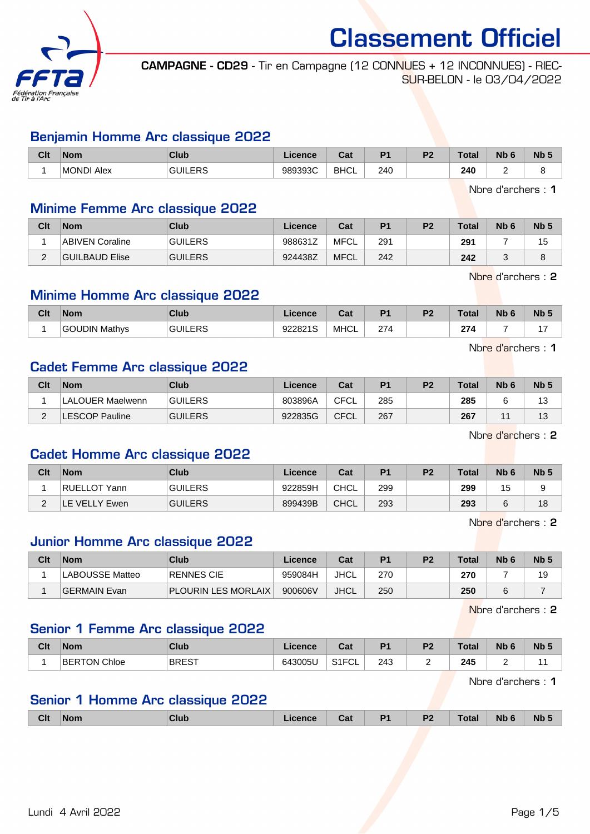

CAMPAGNE - CD29 - Tir en Campagne (12 CONNUES + 12 INCONNUES) - RIEC-SUR-BELON - le 03/04/2022

#### Benjamin Homme Arc classique 2022

| Clt | <b>Nom</b> | Club           | Licence           | <b>Take</b><br>uai | D.  | D <sub>0</sub> | ™ota | <b>Nb</b> | <b>Nb</b> |
|-----|------------|----------------|-------------------|--------------------|-----|----------------|------|-----------|-----------|
|     | MONDI Alex | <b>GUILERS</b> | 989393C<br>്പാടാപ | <b>BHCL</b>        | 240 |                | 240  |           |           |

Nbre d'archers : 1

#### Minime Femme Arc classique 2022

| Clt    | <b>Nom</b>      | <b>Club</b>    | Licence | Cat         | P <sub>1</sub> | P <sub>2</sub> | <b>Total</b> | N <sub>b</sub> 6 | N <sub>b</sub> <sub>5</sub> |
|--------|-----------------|----------------|---------|-------------|----------------|----------------|--------------|------------------|-----------------------------|
|        | ABIVEN Coraline | <b>GUILERS</b> | 988631Z | MFCL        | 291            |                | 291          |                  |                             |
| $\sim$ | GUILBAUD Elise  | <b>GUILERS</b> | 924438Z | <b>MFCL</b> | 242            |                | 242          |                  |                             |

Nbre d'archers : 2

#### Minime Homme Arc classique 2022

| Clt | <b>Nom</b>    | <b>Club</b>   | icence                    | $R_{\rm{orb}}$<br>val | D <sub>4</sub> | D <sub>2</sub> | T <sub>0</sub><br>οτaι | Nb | <b>Nb</b> |
|-----|---------------|---------------|---------------------------|-----------------------|----------------|----------------|------------------------|----|-----------|
|     | Mathys<br>אוכ | EDS<br>GH III | 022821S<br><b>J</b> LOL 1 | <b>MHCL</b>           | 274            |                | 274                    |    |           |

Nbre d'archers : 1

#### Cadet Femme Arc classique 2022

| Clt | <b>Nom</b>       | Club           | Licence | Cat  | P <sub>1</sub> | P <sub>2</sub> | Total | N <sub>b</sub> 6 | Nb <sub>5</sub> |
|-----|------------------|----------------|---------|------|----------------|----------------|-------|------------------|-----------------|
|     | LALOUER Maelwenn | <b>GUILERS</b> | 803896A | CFCL | 285            |                | 285   |                  | 13              |
| _   | ESCOP Pauline.   | <b>GUILERS</b> | 922835G | CFCL | 267            |                | 267   | $\lambda$        | 13              |

Nbre d'archers : 2

#### Cadet Homme Arc classique 2022

| Clt | <b>Nom</b>    | Club           | Licence | Cat         | P <sub>1</sub> | P <sub>2</sub> | <b>Total</b> | N <sub>b</sub> 6 | Nb <sub>5</sub> |
|-----|---------------|----------------|---------|-------------|----------------|----------------|--------------|------------------|-----------------|
|     | RUELLOT Yann  | <b>GUILERS</b> | 922859H | <b>CHCL</b> | 299            |                | 299          | 15               |                 |
|     | E VELLY Ewen. | <b>GUILERS</b> | 899439B | <b>CHCL</b> | 293            |                | 293          |                  | 18              |

Nbre d'archers : 2

#### Junior Homme Arc classique 2022

| Clt | <b>Nom</b>             | Club                       | Licence | Cat         | P <sub>1</sub> | P <sub>2</sub> | Total | N <sub>b</sub> <sub>6</sub> | Nb <sub>5</sub> |
|-----|------------------------|----------------------------|---------|-------------|----------------|----------------|-------|-----------------------------|-----------------|
|     | <b>LABOUSSE Matteo</b> | RENNES CIE                 | 959084H | JHCL        | 270            |                | 270   |                             | 19              |
|     | GERMAIN Evan           | <b>PLOURIN LES MORLAIX</b> | 900606V | <b>JHCL</b> | 250            |                | 250   |                             |                 |

Nbre d'archers : 2

#### Senior 1 Femme Arc classique 2022

| Clt | <b>Nom</b>          | Club         | Licence | ∩^*<br>⊍aι                   | D.            | D.<br>- 4 | <b>Total</b> | Nh <sub>6</sub><br>- IV | N <sub>b</sub> |
|-----|---------------------|--------------|---------|------------------------------|---------------|-----------|--------------|-------------------------|----------------|
|     | <b>BERTON Chloe</b> | <b>BREST</b> | 643005U | $O(10^{-11})$<br>−∪∟<br>11 ب | 243<br>$\sim$ |           | 245<br>__    | -                       |                |

Nbre d'archers : 1

# Senior 1 Homme Arc classique 2022

| <b>Clt</b><br><b>Nb</b><br><b>Nb</b><br>D <sub>1</sub><br>D <sub>2</sub><br><b>Total</b><br>Club<br><b>Nom</b><br>Licence<br>ີາ<br>ual<br>$\sim$<br>. . |
|---------------------------------------------------------------------------------------------------------------------------------------------------------|
|---------------------------------------------------------------------------------------------------------------------------------------------------------|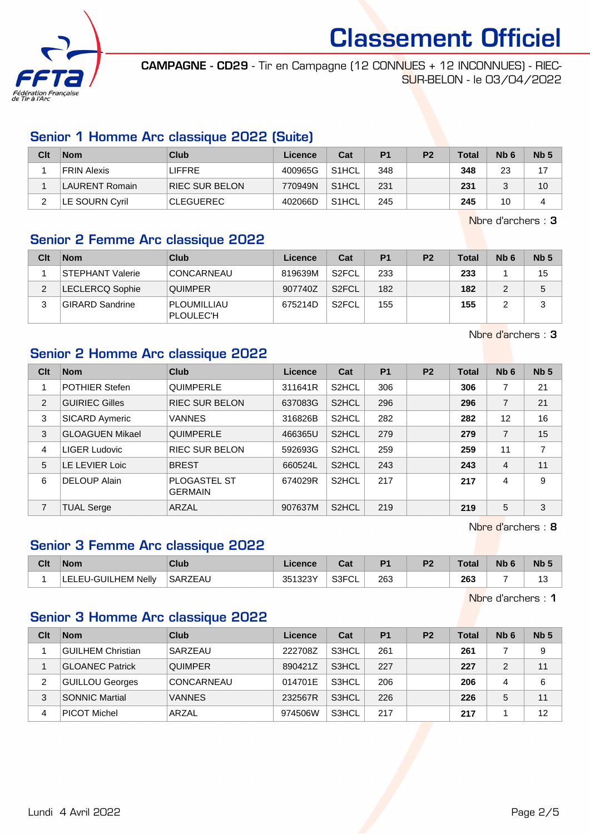

CAMPAGNE - CD29 - Tir en Campagne (12 CONNUES + 12 INCONNUES) - RIEC-SUR-BELON - le 03/04/2022

# Senior 1 Homme Arc classique 2022 (Suite)

| Clt | <b>Nom</b>         | Club                  | Licence | Cat                | P1  | P <sub>2</sub> | <b>Total</b> | Nb <sub>6</sub> | Nb <sub>5</sub> |
|-----|--------------------|-----------------------|---------|--------------------|-----|----------------|--------------|-----------------|-----------------|
|     | <b>FRIN Alexis</b> | <b>LIFFRE</b>         | 400965G | S <sub>1</sub> HCL | 348 |                | 348          | 23              | 17              |
|     | LAURENT Romain     | <b>RIEC SUR BELON</b> | 770949N | S <sub>1</sub> HCL | 231 |                | 231          |                 | 10              |
|     | LE SOURN Cyril     | <b>CLEGUEREC</b>      | 402066D | S <sub>1</sub> HCL | 245 |                | 245          | 10              | 4               |

Nbre d'archers : 3

## Senior 2 Femme Arc classique 2022

| Clt | <b>Nom</b>              | Club                     | Licence | Cat                | P <sub>1</sub> | P <sub>2</sub> | <b>Total</b> | N <sub>b</sub> 6 | Nb <sub>5</sub> |
|-----|-------------------------|--------------------------|---------|--------------------|----------------|----------------|--------------|------------------|-----------------|
|     | <b>STEPHANT Valerie</b> | CONCARNEAU               | 819639M | S2FCL              | 233            |                | 233          |                  | 15              |
|     | <b>LECLERCQ Sophie</b>  | <b>QUIMPER</b>           | 907740Z | S <sub>2</sub> FCL | 182            |                | 182          |                  | 5               |
|     | <b>GIRARD Sandrine</b>  | PLOUMILLIAU<br>PLOULEC'H | 675214D | S <sub>2</sub> FCL | 155            |                | 155          |                  | ว               |

Nbre d'archers : 3

# Senior 2 Homme Arc classique 2022

| Clt            | <b>Nom</b>             | Club                                  | Licence | Cat                | <b>P1</b> | <b>P2</b> | <b>Total</b> | Nb <sub>6</sub> | Nb <sub>5</sub> |
|----------------|------------------------|---------------------------------------|---------|--------------------|-----------|-----------|--------------|-----------------|-----------------|
|                | <b>POTHIER Stefen</b>  | <b>QUIMPERLE</b>                      | 311641R | S2HCL              | 306       |           | 306          | 7               | 21              |
| $\overline{2}$ | <b>GUIRIEC Gilles</b>  | <b>RIEC SUR BELON</b>                 | 637083G | S <sub>2</sub> HCL | 296       |           | 296          | $\overline{7}$  | 21              |
| 3              | SICARD Aymeric         | <b>VANNES</b>                         | 316826B | S <sub>2</sub> HCL | 282       |           | 282          | 12              | 16              |
| 3              | <b>GLOAGUEN Mikael</b> | <b>QUIMPERLE</b>                      | 466365U | S <sub>2</sub> HCL | 279       |           | 279          | $\overline{7}$  | 15              |
| 4              | LIGER Ludovic          | <b>RIEC SUR BELON</b>                 | 592693G | S <sub>2</sub> HCL | 259       |           | 259          | 11              | 7               |
| 5              | LE LEVIER Loic         | <b>BREST</b>                          | 660524L | S <sub>2</sub> HCL | 243       |           | 243          | 4               | 11              |
| 6              | <b>DELOUP Alain</b>    | <b>PLOGASTEL ST</b><br><b>GERMAIN</b> | 674029R | S <sub>2</sub> HCL | 217       |           | 217          | 4               | 9               |
| 7              | <b>TUAL Serge</b>      | ARZAL                                 | 907637M | S <sub>2</sub> HCL | 219       |           | 219          | 5               | 3               |

Nbre d'archers : 8

## Senior 3 Femme Arc classique 2022

| Clt | <b>Nom</b>          | Club    | .icence | va.          | P <sub>1</sub> | P <sub>2</sub> | Total | Nb | <b>Nb</b> |
|-----|---------------------|---------|---------|--------------|----------------|----------------|-------|----|-----------|
|     | LELEU-GUILHEM Nellv | SARZEAU | 351323Y | S3FCI<br>ືບ∟ | 263            |                | 263   |    |           |

Nbre d'archers : 1

# Senior 3 Homme Arc classique 2022

| Clt | <b>Nom</b>             | Club           | Licence | Cat   | P <sub>1</sub> | P <sub>2</sub> | <b>Total</b> | Nb <sub>6</sub> | Nb <sub>5</sub> |
|-----|------------------------|----------------|---------|-------|----------------|----------------|--------------|-----------------|-----------------|
|     | GUILHEM Christian      | SARZEAU        | 222708Z | S3HCL | 261            |                | 261          |                 | 9               |
|     | <b>GLOANEC Patrick</b> | <b>QUIMPER</b> | 890421Z | S3HCL | 227            |                | 227          | 2               | 11              |
| 2   | <b>GUILLOU Georges</b> | CONCARNEAU     | 014701E | S3HCL | 206            |                | 206          | 4               | 6               |
| 3   | <b>SONNIC Martial</b>  | <b>VANNES</b>  | 232567R | S3HCL | 226            |                | 226          | 5               | 11              |
| 4   | PICOT Michel           | ARZAL          | 974506W | S3HCL | 217            |                | 217          |                 | 12              |

Lundi 4 Avril 2022 Page 2/5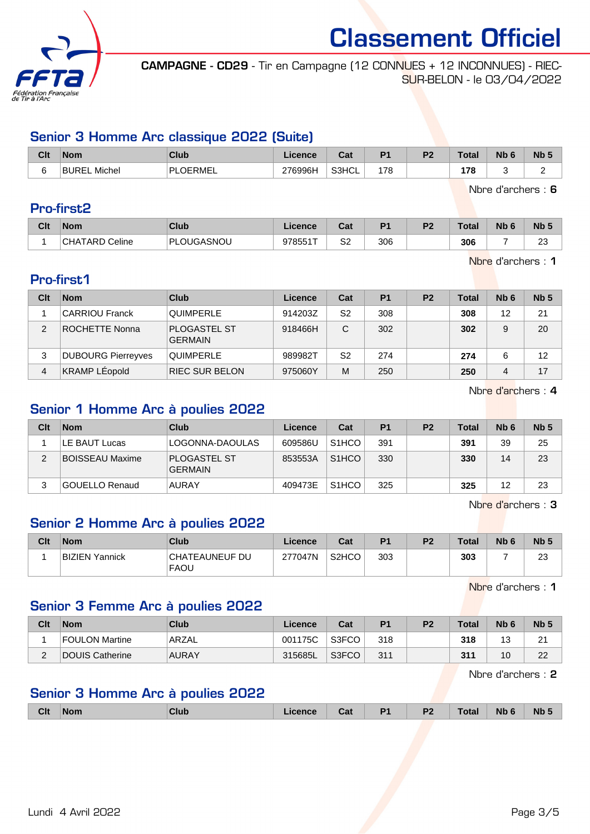

CAMPAGNE - CD29 - Tir en Campagne (12 CONNUES + 12 INCONNUES) - RIEC-SUR-BELON - le 03/04/2022

# Senior 3 Homme Arc classique 2022 (Suite)

| Clt | <b>Nom</b>          | Club          | Licence | Cat   | D.  | D <sub>0</sub> | Total     | Nb <sub>0</sub> | N <sub>b</sub> <sub>5</sub> |
|-----|---------------------|---------------|---------|-------|-----|----------------|-----------|-----------------|-----------------------------|
|     | <b>BUREL Michel</b> | PI<br>LOERMEL | 276996H | S3HCL | 178 |                | 178<br>__ |                 |                             |

Nbre d'archers : 6

## Pro-first2

| Clt | <b>Nom</b>            | Club             | Licence | <b>Take</b><br>⊍a | D <sub>1</sub> | D <sub>0</sub> | Total | <b>Nb</b> | N <sub>b</sub> 5 |
|-----|-----------------------|------------------|---------|-------------------|----------------|----------------|-------|-----------|------------------|
|     | <b>CHATARD Celine</b> | ገLOUGASNOU<br>РL | 978551T | S2                | 306            |                | 306   |           | $\sim$<br>∼      |

Nbre d'archers : 1

# Pro-first1

| Clt | <b>Nom</b>                | Club                                  | Licence | Cat | P <sub>1</sub> | P <sub>2</sub> | <b>Total</b> | Nb <sub>6</sub> | Nb <sub>5</sub> |
|-----|---------------------------|---------------------------------------|---------|-----|----------------|----------------|--------------|-----------------|-----------------|
|     | <b>CARRIOU Franck</b>     | <b>QUIMPERLE</b>                      | 914203Z | S2  | 308            |                | 308          | 12              | 21              |
| 2   | ROCHETTE Nonna            | <b>PLOGASTEL ST</b><br><b>GERMAIN</b> | 918466H | C   | 302            |                | 302          | 9               | 20              |
| 3   | <b>DUBOURG Pierreyves</b> | <b>QUIMPERLE</b>                      | 989982T | S2  | 274            |                | 274          |                 | 12              |
| 4   | <b>KRAMP LÉopold</b>      | <b>RIEC SUR BELON</b>                 | 975060Y | м   | 250            |                | 250          | 4               | 17              |

Nbre d'archers : 4

# Senior 1 Homme Arc à poulies 2022

| Clt | <b>Nom</b>             | Club                                  | Licence | Cat                | P <sub>1</sub> | P <sub>2</sub> | <b>Total</b> | N <sub>b</sub> 6 | Nb <sub>5</sub> |
|-----|------------------------|---------------------------------------|---------|--------------------|----------------|----------------|--------------|------------------|-----------------|
|     | LE BAUT Lucas          | LOGONNA-DAOULAS                       | 609586U | S <sub>1</sub> HCO | 391            |                | 391          | 39               | 25              |
| っ   | <b>BOISSEAU Maxime</b> | <b>PLOGASTEL ST</b><br><b>GERMAIN</b> | 853553A | S <sub>1</sub> HCO | 330            |                | 330          | 14               | 23              |
|     | GOUELLO Renaud         | <b>AURAY</b>                          | 409473E | S <sub>1</sub> HCO | 325            |                | 325          | 12               | 23              |

Nbre d'archers : 3

# Senior 2 Homme Arc à poulies 2022

| Clt | <b>Nom</b>     | Club                          | Licence | Cat                | P <sub>1</sub> | P <sub>2</sub> | <b>Total</b> | N <sub>b</sub> 6 | N <sub>b</sub> 5 |
|-----|----------------|-------------------------------|---------|--------------------|----------------|----------------|--------------|------------------|------------------|
|     | BIZIEN Yannick | CHATEAUNEUF DU<br><b>FAOU</b> | 277047N | S <sub>2</sub> HCO | 303            |                | 303          |                  | ົດ<br>ں ے        |

Nbre d'archers : 1

# Senior 3 Femme Arc à poulies 2022

| Clt                | <b>Nom</b>      | Club         | ∟icence | Cat   | P1  | P <sub>2</sub> | Total | N <sub>b</sub> 6 | Nb <sub>5</sub> |
|--------------------|-----------------|--------------|---------|-------|-----|----------------|-------|------------------|-----------------|
|                    | FOULON Martine  | ARZAL        | 001175C | S3FCO | 318 |                | 318   | J                | ົ<br>ے          |
| $\sim$<br><u>.</u> | DOUIS Catherine | <b>AURAY</b> | 315685L | S3FCO | 311 |                | 311   | 10               | າາ<br>22        |

Nbre d'archers : 2

#### Senior 3 Homme Arc à poulies 2022

| <b>Clt</b> | <b>Non</b><br>. | <b>Club</b> | ual | D <sub>4</sub><br>. . | D <sub>0</sub><br>$\sqrt{2}$ | ı vuu | <b>Nb</b><br>____ | <b>Nb</b> |
|------------|-----------------|-------------|-----|-----------------------|------------------------------|-------|-------------------|-----------|
|            |                 |             |     |                       |                              |       |                   |           |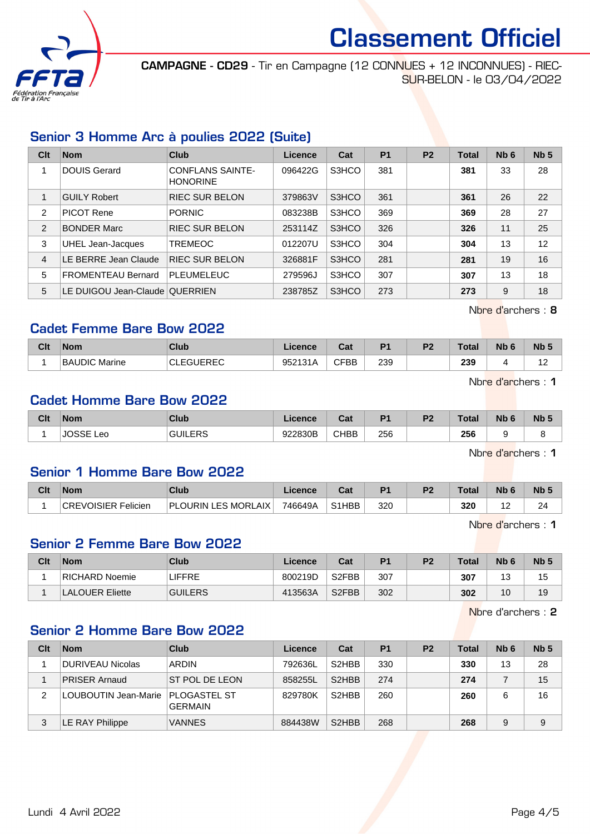

CAMPAGNE - CD29 - Tir en Campagne (12 CONNUES + 12 INCONNUES) - RIEC-SUR-BELON - le 03/04/2022

# Senior 3 Homme Arc à poulies 2022 (Suite)

| Clt            | <b>Nom</b>                     | <b>Club</b>                                | Licence | Cat   | P <sub>1</sub> | P <sub>2</sub> | <b>Total</b> | Nb <sub>6</sub> | Nb <sub>5</sub> |
|----------------|--------------------------------|--------------------------------------------|---------|-------|----------------|----------------|--------------|-----------------|-----------------|
|                | <b>DOUIS Gerard</b>            | <b>CONFLANS SAINTE-</b><br><b>HONORINE</b> | 096422G | S3HCO | 381            |                | 381          | 33              | 28              |
|                | <b>GUILY Robert</b>            | <b>RIEC SUR BELON</b>                      | 379863V | S3HCO | 361            |                | 361          | 26              | 22              |
| 2              | <b>PICOT Rene</b>              | <b>PORNIC</b>                              | 083238B | S3HCO | 369            |                | 369          | 28              | 27              |
| 2              | <b>BONDER Marc</b>             | <b>RIEC SUR BELON</b>                      | 253114Z | S3HCO | 326            |                | 326          | 11              | 25              |
| 3              | UHEL Jean-Jacques              | <b>TREMEOC</b>                             | 012207U | S3HCO | 304            |                | 304          | 13              | 12              |
| $\overline{4}$ | LE BERRE Jean Claude           | <b>RIEC SUR BELON</b>                      | 326881F | S3HCO | 281            |                | 281          | 19              | 16              |
| 5              | <b>FROMENTEAU Bernard</b>      | <b>PLEUMELEUC</b>                          | 279596J | S3HCO | 307            |                | 307          | 13              | 18              |
| 5              | LE DUIGOU Jean-Claude QUERRIEN |                                            | 238785Z | S3HCO | 273            |                | 273          | 9               | 18              |

Nbre d'archers : 8

## Cadet Femme Bare Bow 2022

| Clt | <b>Nom</b>    | Club             | Licence          | <b>Take</b><br>ual | D <sub>4</sub> | D <sub>2</sub> | <b>Total</b> | <b>Nb</b> | N <sub>b</sub> 5 |
|-----|---------------|------------------|------------------|--------------------|----------------|----------------|--------------|-----------|------------------|
|     | BAUDIC Marine | <b>CLEGUEREC</b> | 952131A<br>۱۳ د. | CFBB               | 239            |                | 239          |           | م م<br>-<br>. .  |

Nbre d'archers : 1

## Cadet Homme Bare Bow 2022

| Clt | <b>Nom</b>            | Club           | Licence | <b>DAL</b><br>ual | D4         | D <sub>2</sub> | <b>Total</b> | <b>Nb</b> | N <sub>b</sub> 5 |
|-----|-----------------------|----------------|---------|-------------------|------------|----------------|--------------|-----------|------------------|
|     | 1000F<br>Leo<br>⊍∪ວວ⊏ | <b>GUILERS</b> | 922830B | <b>CHBB</b>       | 256<br>___ |                | 256<br>- -   |           |                  |

Nbre d'archers : 1

#### Senior 1 Homme Bare Bow 2022

| Clt | <b>Nom</b>          | Club                       | Licence | ∩~∙<br>⊍a                       | D <sub>1</sub> | D <sub>2</sub> | Total | Nb | <b>N<sub>b</sub></b> |
|-----|---------------------|----------------------------|---------|---------------------------------|----------------|----------------|-------|----|----------------------|
|     | CREVOISIER Felicien | <b>PLOURIN LES MORLAIX</b> | 746649A | S <sub>1</sub> H <sub>B</sub> B | 320            |                | 320   |    | 24                   |

Nbre d'archers : 1

### Senior 2 Femme Bare Bow 2022

| Clt | <b>Nom</b>             | Club           | ∟icence⊹ | Cat                | D <sub>1</sub> | P <sub>2</sub> | Total | N <sub>b</sub> <sub>6</sub> | <b>Nb</b> |
|-----|------------------------|----------------|----------|--------------------|----------------|----------------|-------|-----------------------------|-----------|
|     | RICHARD Noemie         | LIFFRE         | 800219D  | S <sub>2</sub> FBB | 307            |                | 307   | $\sim$<br>J                 | 15        |
|     | <b>LALOUER Eliette</b> | <b>GUILERS</b> | 413563A  | S <sub>2</sub> FBB | 302            |                | 302   | 10                          | 19        |

Nbre d'archers : 2

#### Senior 2 Homme Bare Bow 2022

| Clt | <b>Nom</b>           | Club                                  | Licence | Cat                            | P <sub>1</sub> | P <sub>2</sub> | Total | Nb <sub>6</sub> | Nb <sub>5</sub> |
|-----|----------------------|---------------------------------------|---------|--------------------------------|----------------|----------------|-------|-----------------|-----------------|
|     | DURIVEAU Nicolas     | <b>ARDIN</b>                          | 792636L | S <sub>2</sub> HBB             | 330            |                | 330   | 13              | 28              |
|     | <b>PRISER Arnaud</b> | ST POL DE LEON                        | 858255L | S <sub>2</sub> HBB             | 274            |                | 274   |                 | 15              |
| 2   | LOUBOUTIN Jean-Marie | <b>PLOGASTEL ST</b><br><b>GERMAIN</b> | 829780K | S <sub>2</sub> HBB             | 260            |                | 260   | 6               | 16              |
| 3   | E RAY Philippe       | <b>VANNES</b>                         | 884438W | S <sub>2</sub> H <sub>BB</sub> | 268            |                | 268   | 9               | 9               |